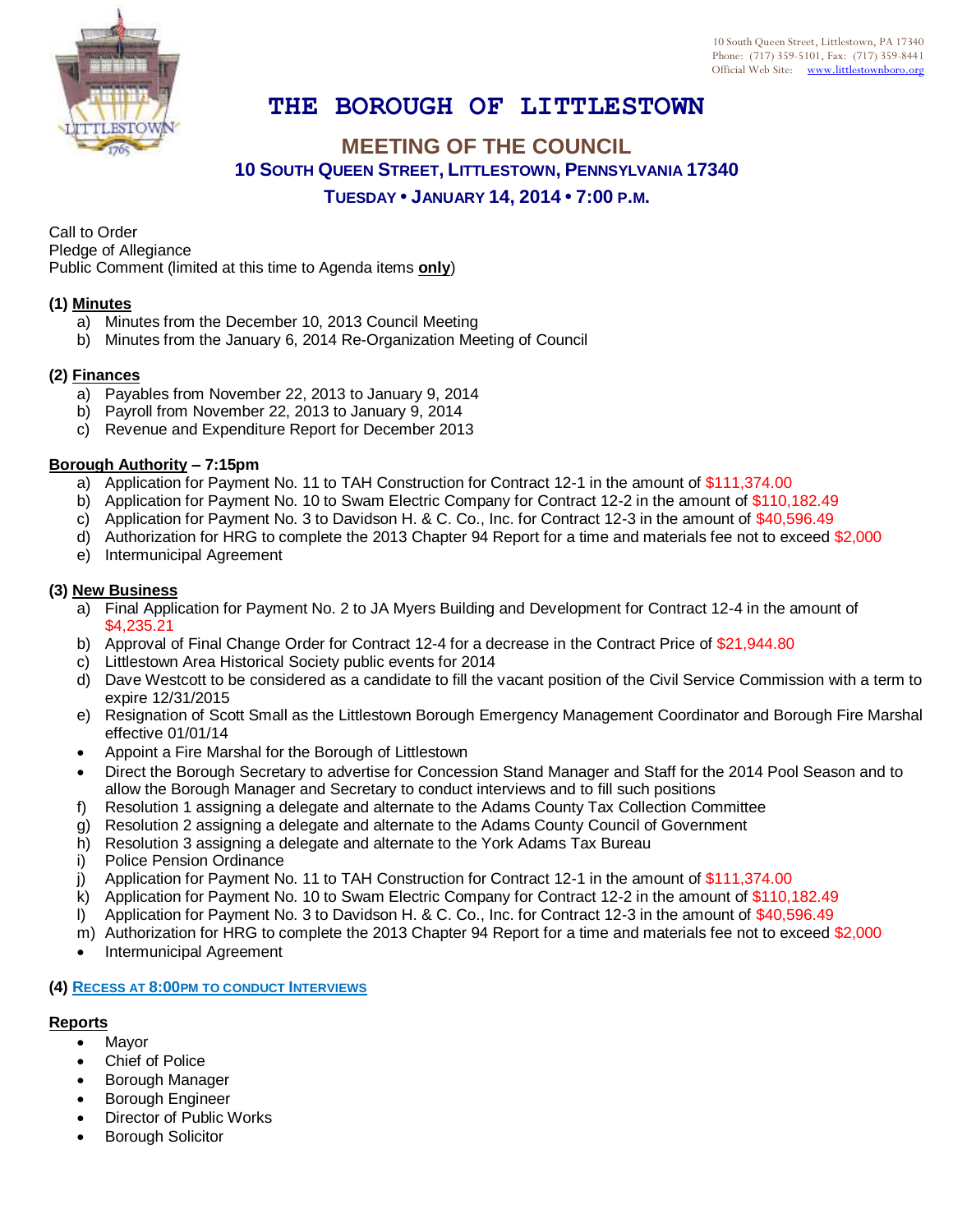

# **THE BOROUGH OF LITTLESTOWN**

## **MEETING OF THE COUNCIL 10 SOUTH QUEEN STREET, LITTLESTOWN, PENNSYLVANIA 17340 TUESDAY • JANUARY 14, 2014 • 7:00 P.M.**

Call to Order Pledge of Allegiance

Public Comment (limited at this time to Agenda items **only**)

## **(1) Minutes**

- a) Minutes from the December 10, 2013 Council Meeting
- b) Minutes from the January 6, 2014 Re-Organization Meeting of Council

## **(2) Finances**

- a) Payables from November 22, 2013 to January 9, 2014
- b) Payroll from November 22, 2013 to January 9, 2014
- c) Revenue and Expenditure Report for December 2013

#### **Borough Authority – 7:15pm**

- a) Application for Payment No. 11 to TAH Construction for Contract 12-1 in the amount of \$111,374.00
- b) Application for Payment No. 10 to Swam Electric Company for Contract 12-2 in the amount of \$110,182.49
- c) Application for Payment No. 3 to Davidson H. & C. Co., Inc. for Contract 12-3 in the amount of \$40,596.49
- d) Authorization for HRG to complete the 2013 Chapter 94 Report for a time and materials fee not to exceed \$2,000
- e) Intermunicipal Agreement

## **(3) New Business**

- a) Final Application for Payment No. 2 to JA Myers Building and Development for Contract 12-4 in the amount of \$4,235.21
- b) Approval of Final Change Order for Contract 12-4 for a decrease in the Contract Price of \$21,944.80
- c) Littlestown Area Historical Society public events for 2014
- d) Dave Westcott to be considered as a candidate to fill the vacant position of the Civil Service Commission with a term to expire 12/31/2015
- e) Resignation of Scott Small as the Littlestown Borough Emergency Management Coordinator and Borough Fire Marshal effective 01/01/14
- Appoint a Fire Marshal for the Borough of Littlestown
- Direct the Borough Secretary to advertise for Concession Stand Manager and Staff for the 2014 Pool Season and to allow the Borough Manager and Secretary to conduct interviews and to fill such positions
- f) Resolution 1 assigning a delegate and alternate to the Adams County Tax Collection Committee
- g) Resolution 2 assigning a delegate and alternate to the Adams County Council of Government
- h) Resolution 3 assigning a delegate and alternate to the York Adams Tax Bureau
- i) Police Pension Ordinance
- j) Application for Payment No. 11 to TAH Construction for Contract 12-1 in the amount of \$111,374.00
- k) Application for Payment No. 10 to Swam Electric Company for Contract 12-2 in the amount of \$110,182.49
- l) Application for Payment No. 3 to Davidson H. & C. Co., Inc. for Contract 12-3 in the amount of \$40,596.49
- m) Authorization for HRG to complete the 2013 Chapter 94 Report for a time and materials fee not to exceed \$2,000
- Intermunicipal Agreement

#### **(4) RECESS AT 8:00PM TO CONDUCT INTERVIEWS**

## **Reports**

- Mayor
- Chief of Police
- Borough Manager
- Borough Engineer
- Director of Public Works
- Borough Solicitor